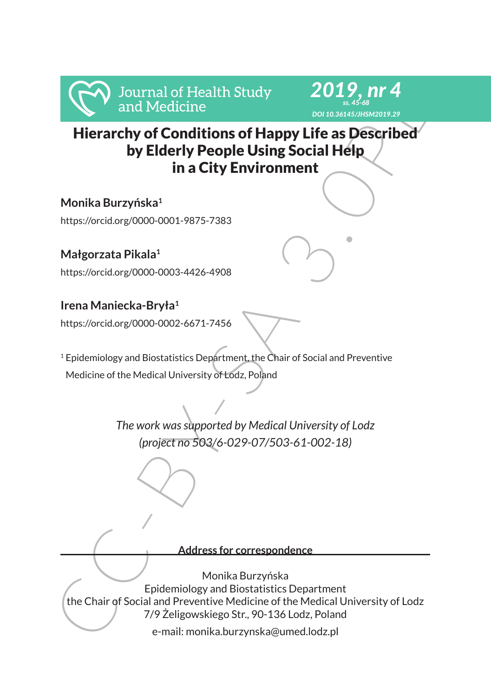



Hierarchy of Conditions of Happy Life as Described by Elderly People Using Social Help in a City Environment

**Monika Burzyńska<sup>1</sup>** https://orcid.org/0000-0001-9875-7383

**Małgorzata Pikala<sup>1</sup>** https://orcid.org/0000-0003-4426-4908

# **Irena Maniecka-Bryła<sup>1</sup>**

https://orcid.org/0000-0002-6671-7456

<sup>1</sup> Epidemiology and Biostatistics Department, the Chair of Social and Preventive Medicine of the Medical University of Lodz, Poland

> *The work was supported by Medical University of Lodz (project no 503/6-029-07/503-61-002-18)*

### **Address for correspondence**

Franchy of Continues of Health Study<br>
and Medicine<br>
by Eldin Medicine<br>
by Eldin Medicine<br>
by Eldin Scherly People Using Social Help<br>
in a City Environment<br>
Monika Burzyńska<br>
https://orcidorg/0000-0001-9875-7383<br>
Małgorzata Monika Burzyńska Epidemiology and Biostatistics Department the Chair of Social and Preventive Medicine of the Medical University of Lodz 7/9 Żeligowskiego Str., 90-136 Lodz, Poland

e-mail: monika.burzynska@umed.lodz.pl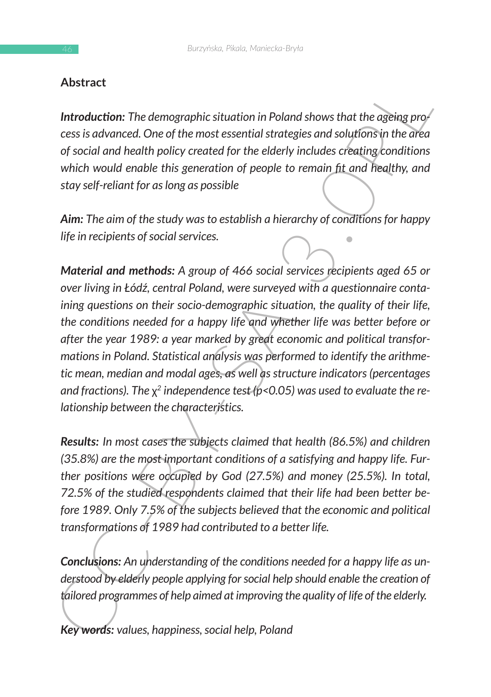## **Abstract**

*Introduction: The demographic situation in Poland shows that the ageing process is advanced. One of the most essential strategies and solutions in the area of social and health policy created for the elderly includes creating conditions which would enable this generation of people to remain fit and healthy, and stay self-reliant for as long as possible*

*Aim: The aim of the study was to establish a hierarchy of conditions for happy life in recipients of social services.* 

**Abstract**<br> **Introduction:** The demographic situation in Poland shows that the ageing pro-<br>
ces is advanced. One of the most essential strategies and solutions in the area<br>
or social and health policy retated for the elde *Material and methods: A group of 466 social services recipients aged 65 or over living in Łódź, central Poland, were surveyed with a questionnaire containing questions on their socio-demographic situation, the quality of their life, the conditions needed for a happy life and whether life was better before or after the year 1989: a year marked by great economic and political transformations in Poland. Statistical analysis was performed to identify the arithmetic mean, median and modal ages, as well as structure indicators (percentages and fractions). The* χ*2 independence test (p<0.05) was used to evaluate the relationship between the characteristics.* 

*Results: In most cases the subjects claimed that health (86.5%) and children (35.8%) are the most important conditions of a satisfying and happy life. Further positions were occupied by God (27.5%) and money (25.5%). In total, 72.5% of the studied respondents claimed that their life had been better before 1989. Only 7.5% of the subjects believed that the economic and political transformations of 1989 had contributed to a better life.* 

*Conclusions: An understanding of the conditions needed for a happy life as understood by elderly people applying for social help should enable the creation of tailored programmes of help aimed at improving the quality of life of the elderly.* 

*Key words: values, happiness, social help, Poland*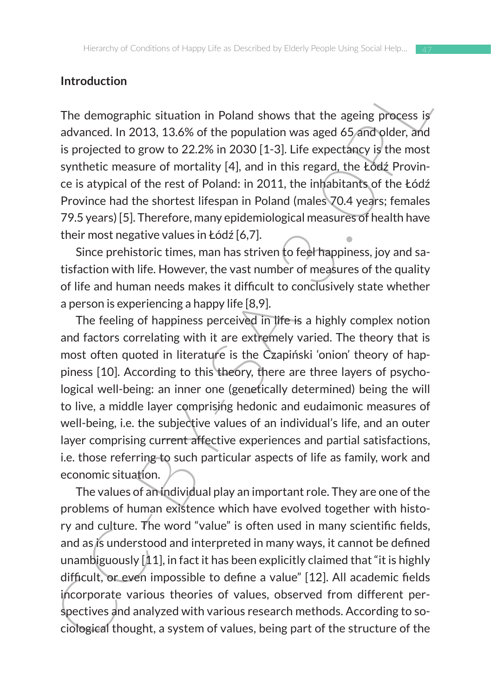### **Introduction**

The demographic situation in Poland shows that the ageing process is advanced. In 2013, 13.6% of the population was aged 65 and older, and is projected to grow to 22.2% in 2030 [1-3]. Life expectancy is the most synthetic measure of mortality [4], and in this regard, the Łódź Province is atypical of the rest of Poland: in 2011, the inhabitants of the Łódź Province had the shortest lifespan in Poland (males 70.4 years; females 79.5 years) [5]. Therefore, many epidemiological measures of health have their most negative values in Łódź [6,7].

Since prehistoric times, man has striven to feel happiness, joy and satisfaction with life. However, the vast number of measures of the quality of life and human needs makes it difficult to conclusively state whether a person is experiencing a happy life [8,9].

Introduction<br>
The demographic situation in Poland shows that the ageing process is<br>
advanced. In 2013, 13.8% of the population was aged 6.5 and poles.<br>
is projected to grow to 22.2% in 2030 [1-3]. Life expectiancy is the m The feeling of happiness perceived in life is a highly complex notion and factors correlating with it are extremely varied. The theory that is most often quoted in literature is the Czapiński 'onion' theory of happiness [10]. According to this theory, there are three layers of psychological well-being: an inner one (genetically determined) being the will to live, a middle layer comprising hedonic and eudaimonic measures of well-being, i.e. the subjective values of an individual's life, and an outer layer comprising current affective experiences and partial satisfactions, i.e. those referring to such particular aspects of life as family, work and economic situation.

The values of an individual play an important role. They are one of the problems of human existence which have evolved together with history and culture. The word "value" is often used in many scientific fields, and as is understood and interpreted in many ways, it cannot be defined unambiguously [11], in fact it has been explicitly claimed that "it is highly difficult, or even impossible to define a value" [12]. All academic fields incorporate various theories of values, observed from different perspectives and analyzed with various research methods. According to sociological thought, a system of values, being part of the structure of the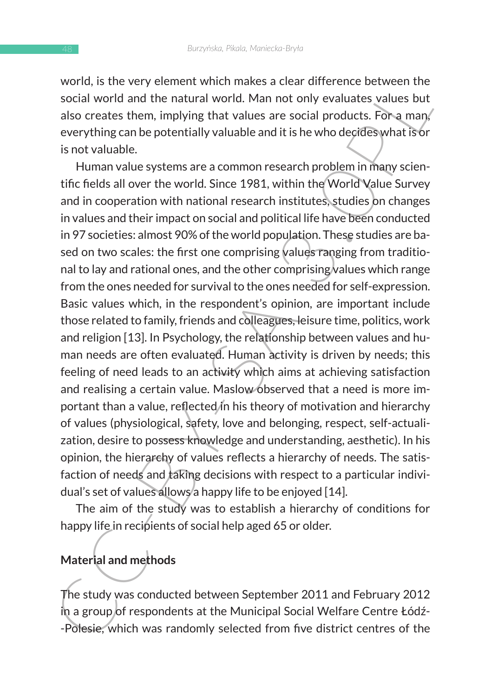world, is the very element which makes a clear difference between the social world and the natural world. Man not only evaluates values but also creates them, implying that values are social products. For a man, everything can be potentially valuable and it is he who decides what is or is not valuable.

word, is use very element word makes a detail uniteract electween the starty element was colail world and the natural world. Man not only evaluates values but<br>also creates them, implying that values are social products. Fo Human value systems are a common research problem in many scientific fields all over the world. Since 1981, within the World Value Survey and in cooperation with national research institutes, studies on changes in values and their impact on social and political life have been conducted in 97 societies: almost 90% of the world population. These studies are based on two scales: the first one comprising values ranging from traditional to lay and rational ones, and the other comprising values which range from the ones needed for survival to the ones needed for self-expression. Basic values which, in the respondent's opinion, are important include those related to family, friends and colleagues, leisure time, politics, work and religion [13]. In Psychology, the relationship between values and human needs are often evaluated. Human activity is driven by needs; this feeling of need leads to an activity which aims at achieving satisfaction and realising a certain value. Maslow observed that a need is more important than a value, reflected in his theory of motivation and hierarchy of values (physiological, safety, love and belonging, respect, self-actualization, desire to possess knowledge and understanding, aesthetic). In his opinion, the hierarchy of values reflects a hierarchy of needs. The satisfaction of needs and taking decisions with respect to a particular individual's set of values allows a happy life to be enjoyed [14].

The aim of the study was to establish a hierarchy of conditions for happy life in recipients of social help aged 65 or older.

## **Material and methods**

The study was conducted between September 2011 and February 2012 in a group of respondents at the Municipal Social Welfare Centre Łódź- -Polesie, which was randomly selected from five district centres of the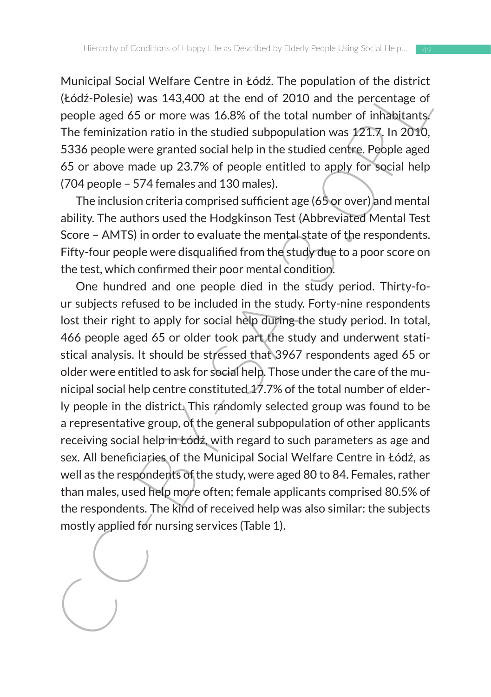Municipal Social Welfare Centre in Łódź. The population of the district (Łódź-Polesie) was 143,400 at the end of 2010 and the percentage of people aged 65 or more was 16.8% of the total number of inhabitants. The feminization ratio in the studied subpopulation was 121.7. In 2010, 5336 people were granted social help in the studied centre. People aged 65 or above made up 23.7% of people entitled to apply for social help (704 people – 574 females and 130 males).

The inclusion criteria comprised sufficient age (65 or over) and mental ability. The authors used the Hodgkinson Test (Abbreviated Mental Test Score – AMTS) in order to evaluate the mental state of the respondents. Fifty-four people were disqualified from the study due to a poor score on the test, which confirmed their poor mental condition.

Numurlay about we have there in touz. The population of the matrix<br>(Edd2-Polesie) was 143,400 at the end of 2010 and the percentage of<br>people aged 65 or more was 16.8% of the total number of inhibitating<br>The feminization One hundred and one people died in the study period. Thirty-four subjects refused to be included in the study. Forty-nine respondents lost their right to apply for social help during the study period. In total, 466 people aged 65 or older took part the study and underwent statistical analysis. It should be stressed that 3967 respondents aged 65 or older were entitled to ask for social help. Those under the care of the municipal social help centre constituted 17.7% of the total number of elderly people in the district. This randomly selected group was found to be a representative group, of the general subpopulation of other applicants receiving social help in Łódź, with regard to such parameters as age and sex. All beneficiaries of the Municipal Social Welfare Centre in Łódź, as well as the respondents of the study, were aged 80 to 84. Females, rather than males, used help more often; female applicants comprised 80.5% of the respondents. The kind of received help was also similar: the subjects mostly applied for nursing services (Table 1).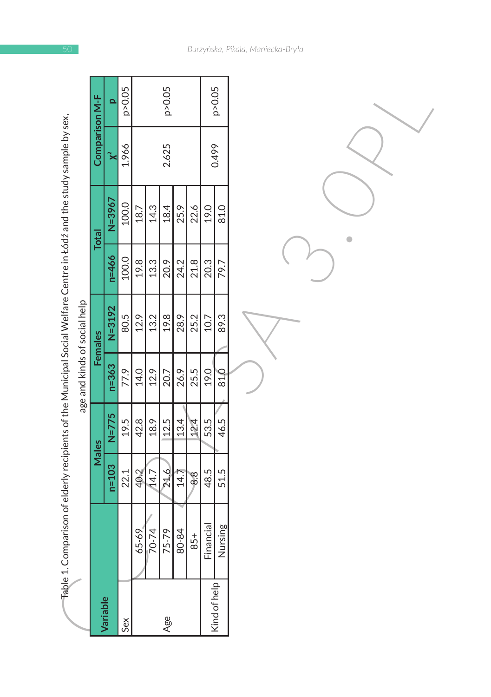| Fable 1. Comparison of elderly recipients of the Municipal Social Welfare Centre in Łódź and the study sample by sex, | age and kinds of social help | Comparison M-F<br><b>Total</b><br>Females<br>Males | $\Omega$<br>$\chi^2$<br>$N = 3967$<br>$n = 466$<br>$N = 3192$<br>$n = 363$<br>$N = 775$<br>$n = 103$ | p>0.05<br>1.966<br>100.0<br>100.0<br>80.5<br>77.9<br>19.5<br>22.1 | 18.7<br>19.8<br>12.9<br>14.0<br>42.8<br>40.2 | 14.3<br>13.3<br>13.2<br>12.9<br>18.9<br>14.7 | p>0.05<br>2.625<br>18.4<br>20.9<br>19.8<br>20.7<br>12.5<br>216 | 25.9<br>24.2<br>28.9<br>26.9<br>13.4<br>14.7 | 22.6<br>21.8<br>25.2<br>25.5<br>24<br>$\frac{8}{6}$ | 19.0<br>20.3<br>10.7<br>19.0<br>53.5<br>48.5 | p>0.05<br>0.499<br>81.0<br>79.7<br>89.3<br>81,0<br>46.5<br>51.5 |
|-----------------------------------------------------------------------------------------------------------------------|------------------------------|----------------------------------------------------|------------------------------------------------------------------------------------------------------|-------------------------------------------------------------------|----------------------------------------------|----------------------------------------------|----------------------------------------------------------------|----------------------------------------------|-----------------------------------------------------|----------------------------------------------|-----------------------------------------------------------------|
|                                                                                                                       |                              |                                                    |                                                                                                      |                                                                   |                                              |                                              |                                                                |                                              |                                                     |                                              |                                                                 |
|                                                                                                                       |                              |                                                    | Variable                                                                                             |                                                                   | 65-69                                        | $70 - 74$                                    | 75-79                                                          | 80-84                                        | $85+$                                               | Financial                                    | Nursing<br>Kind of help                                         |

*Burzyńska, Pikala, Maniecka-Bryła*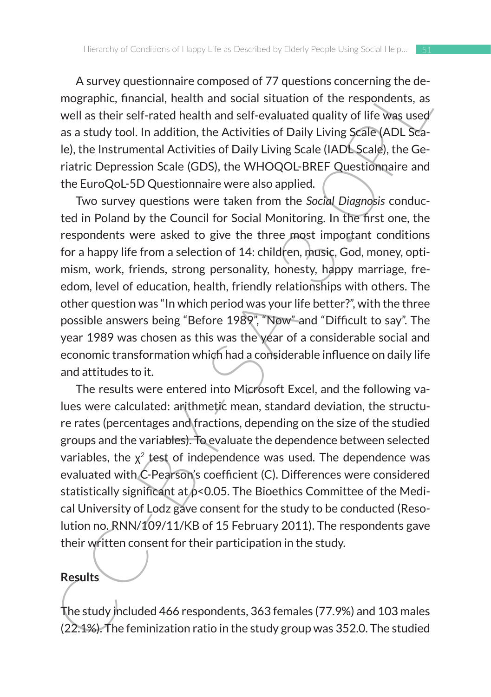A survey questionnaire composed of 77 questions concerning the demographic, financial, health and social situation of the respondents, as well as their self-rated health and self-evaluated quality of life was used as a study tool. In addition, the Activities of Daily Living Scale (ADL Scale), the Instrumental Activities of Daily Living Scale (IADL Scale), the Geriatric Depression Scale (GDS), the WHOQOL-BREF Questionnaire and the EuroQoL-5D Questionnaire were also applied.

A survey question inter composed or 77 questions concerning the terms<br>and the statistical function of the respondents, as<br>well as their self-rated health and social situation of the respondents, as<br>well as their self-rate Two survey questions were taken from the *Social Diagnosis* conducted in Poland by the Council for Social Monitoring. In the first one, the respondents were asked to give the three most important conditions for a happy life from a selection of 14: children, music, God, money, optimism, work, friends, strong personality, honesty, happy marriage, freedom, level of education, health, friendly relationships with others. The other question was "In which period was your life better?", with the three possible answers being "Before 1989", "Now" and "Difficult to say". The year 1989 was chosen as this was the year of a considerable social and economic transformation which had a considerable influence on daily life and attitudes to it.

The results were entered into Microsoft Excel, and the following values were calculated: arithmetic mean, standard deviation, the structure rates (percentages and fractions, depending on the size of the studied groups and the variables). To evaluate the dependence between selected variables, the χ*<sup>2</sup>* test of independence was used. The dependence was evaluated with C-Pearson's coefficient (C). Differences were considered statistically significant at  $p$ <0.05. The Bioethics Committee of the Medical University of Lodz gave consent for the study to be conducted (Resolution no. RNN/109/11/KB of 15 February 2011). The respondents gave their written consent for their participation in the study.

### **Results**

The study included 466 respondents, 363 females (77.9%) and 103 males (22.1%). The feminization ratio in the study group was 352.0. The studied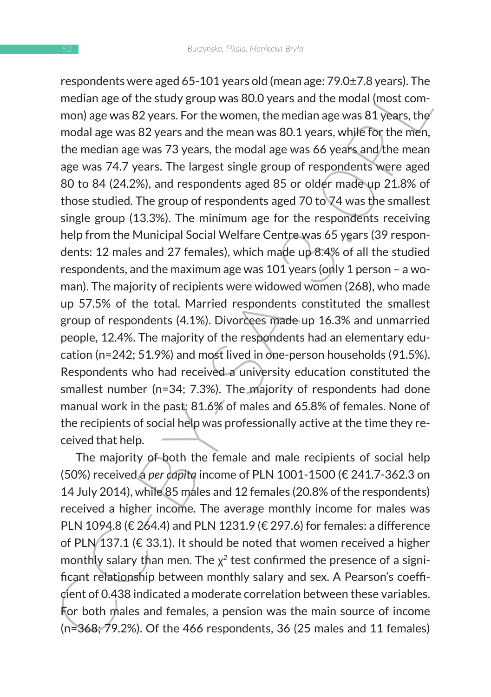respondents, were aged os - 101 years out (mealing). The median age of the study group was 80.0 years and the modal (most com-<br>mon) age was 82 years. For the women, the median age was 81 years, they<br>modal age was 82 years respondents were aged 65-101 years old (mean age: 79.0±7.8 years). The median age of the study group was 80.0 years and the modal (most common) age was 82 years. For the women, the median age was 81 years, the modal age was 82 years and the mean was 80.1 years, while for the men, the median age was 73 years, the modal age was 66 years and the mean age was 74.7 years. The largest single group of respondents were aged 80 to 84 (24.2%), and respondents aged 85 or older made up 21.8% of those studied. The group of respondents aged 70 to 74 was the smallest single group (13.3%). The minimum age for the respondents receiving help from the Municipal Social Welfare Centre was 65 years (39 respondents: 12 males and 27 females), which made up 8.4% of all the studied respondents, and the maximum age was 101 years (only 1 person – a woman). The majority of recipients were widowed women (268), who made up 57.5% of the total. Married respondents constituted the smallest group of respondents (4.1%). Divorcees made up 16.3% and unmarried people, 12.4%. The majority of the respondents had an elementary education (n=242; 51.9%) and most lived in one-person households (91.5%). Respondents who had received a university education constituted the smallest number (n=34; 7.3%). The majority of respondents had done manual work in the past: 81.6% of males and 65.8% of females. None of the recipients of social help was professionally active at the time they received that help.

The majority of both the female and male recipients of social help (50%) received a *per capita* income of PLN 1001-1500 (€ 241.7-362.3 on 14 July 2014), while 85 males and 12 females (20.8% of the respondents) received a higher income. The average monthly income for males was PLN 1094.8 (€ 264.4) and PLN 1231.9 (€ 297.6) for females: a difference of PLN 137.1 ( $\epsilon$  33.1). It should be noted that women received a higher monthly salary than men. The χ*2* test confirmed the presence of a significant relationship between monthly salary and sex. A Pearson's coefficient of 0.438 indicated a moderate correlation between these variables. For both males and females, a pension was the main source of income (n=368; 79.2%). Of the 466 respondents, 36 (25 males and 11 females)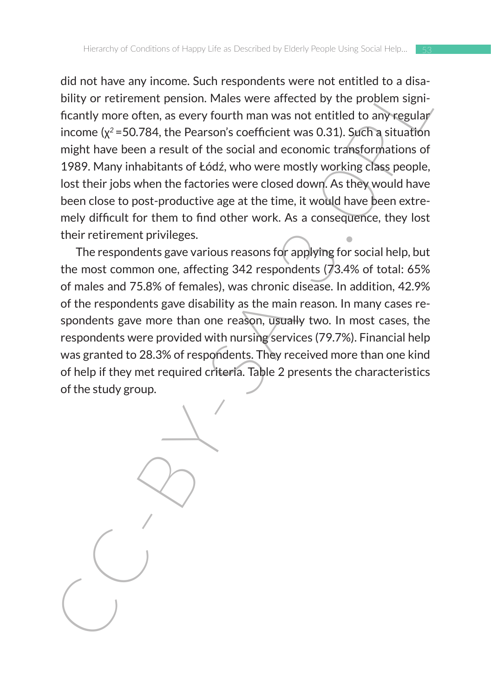an int lawer any incontine. Such respondents were not entimed to a dust-<br>bility or retirement pension. Males were affected by the problem significantly more often, as every fourth man was not entitled to any regular<br>income did not have any income. Such respondents were not entitled to a disability or retirement pension. Males were affected by the problem significantly more often, as every fourth man was not entitled to any regular income (χ*<sup>2</sup>*=50.784, the Pearson's coefficient was 0.31). Such a situation might have been a result of the social and economic transformations of 1989. Many inhabitants of Łódź, who were mostly working class people, lost their jobs when the factories were closed down. As they would have been close to post-productive age at the time, it would have been extremely difficult for them to find other work. As a consequence, they lost their retirement privileges.

The respondents gave various reasons for applying for social help, but the most common one, affecting 342 respondents (73.4% of total: 65% of males and 75.8% of females), was chronic disease. In addition, 42.9% of the respondents gave disability as the main reason. In many cases respondents gave more than one reason, usually two. In most cases, the respondents were provided with nursing services (79.7%). Financial help was granted to 28.3% of respondents. They received more than one kind of help if they met required criteria. Table 2 presents the characteristics of the study group.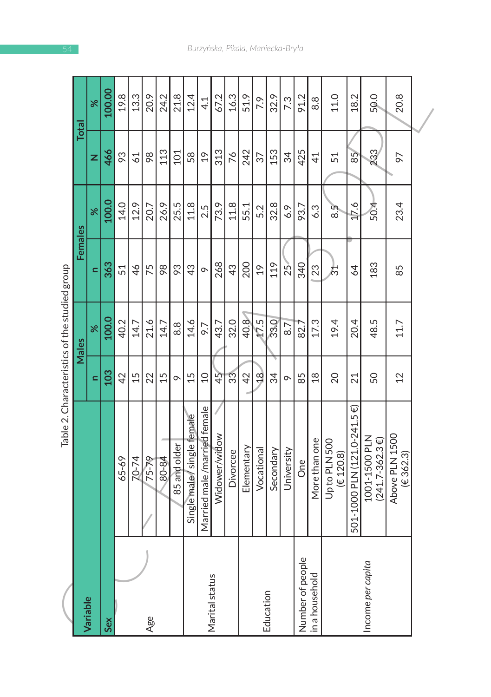|                   |                                    |                | Table 2. Characteristics of the studied group |                |               |                |               |
|-------------------|------------------------------------|----------------|-----------------------------------------------|----------------|---------------|----------------|---------------|
|                   |                                    |                | Males                                         | Females        |               | Total          |               |
| <b>Variable</b>   |                                    | Ξ              | $\aleph$                                      | $\equiv$       | $\aleph$      | z              | $\aleph$      |
| Sex               |                                    | 103            | 100.0                                         | 363            | 100.0         | 466            | 100.00        |
|                   | 65-69                              | 42             | 40.2                                          | 51             | 14.0          | 93             | 19.8          |
|                   | $70 - 74$                          | 15             | 14.7                                          | 46             | 12.9          | 61             | 13.3          |
| Age               | 75-79                              | 22             | 21.6                                          | 75             | 20.7          | 98             | 20.9          |
|                   | 80-84                              | 15             | 14.7                                          | 98             | 26.9          | 113            | 24.2          |
|                   | 85 and older                       | $\circ$        | $\frac{8}{8}$                                 | 93             | 25.5          | 101            | 21.8          |
|                   | Single male/single female          | 15             | 14.6                                          | 43             | 11.8          | 58             | 12.4          |
|                   | Married male/married female        | $\Omega$       | 9.7                                           | $\circ$        | 2.5           | $\overline{c}$ | $\frac{1}{4}$ |
| Marital status    | Widower/widow                      | 45             | 43.7                                          | 268            | 73.9          | 313            | 67.2          |
|                   | Divorcee                           | 33             | 32.0                                          | 43             | 11.8          | 76             | 16.3          |
|                   | Elementary                         | 42             | 40.8                                          | 200            | 55.1          | 242            | 51.9          |
|                   | Vocational                         | $\frac{8}{1}$  | 17.5                                          | $\frac{9}{2}$  | 5.2           | 57             | 7.9           |
| Education         | Secondary                          | 34             | 33.0                                          | 119            | 32.8          | 153            | 32.9          |
|                   | University                         | $\circ$        | 8.7                                           | 25             | 6.9           | 34             | 7.3           |
| Number of people  | One                                | 85             | 82.7                                          | 340            | 93.7          | 425            | 91.2          |
| in a household    | More than one                      | $\frac{8}{18}$ | 17.3                                          | 23             | 6.3           | $\overline{4}$ | 8.8           |
|                   | Up to PLN 500<br>(E 120.8)         | 20             | 19.4                                          | ద్             | $8.5^{\circ}$ | 51             | 11.0          |
|                   | 501-1000 PLN (121.0-241.5 €)       | 21             | 20.4                                          | $\overline{4}$ | 17.6          | 85             | 18.2          |
| Income per capita | 1001-1500 PLN<br>$(241.7 - 362.3)$ | 50             | 48.5                                          | 183            | 504           | 233            | 50.0          |
|                   | Above PLN 1500<br>(E362.3)         | 12             | 11.7                                          | 85             | 23.4          | 56             | 20.8          |
|                   |                                    |                |                                               |                |               |                |               |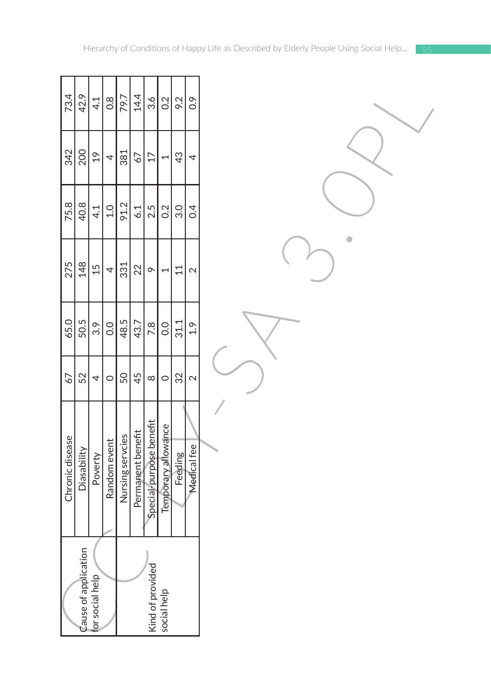| 73.4            | 42.9                        | 4.1             | 0.8          | 79.7             | 14.4              | $\frac{36}{ }$          | 0.2                      | 9.2             | 0.9         |
|-----------------|-----------------------------|-----------------|--------------|------------------|-------------------|-------------------------|--------------------------|-----------------|-------------|
| 342             | 200                         | $\overline{61}$ | 4            | 381              | 67                | $\overline{17}$         | 1                        | $\frac{3}{2}$   | 4           |
| 75.8            | 40.8                        | 4.1             | 1.0          | 91.2             | 6.1               | 2.5                     | 0.2                      | 3.0             | 0.4         |
| 275             | 148                         | 15              | 4            | 331              | 22                | $\circ$                 | $\overline{\phantom{0}}$ | $\overline{11}$ | $\sim$      |
| 65.0            | 50.5                        | 3.9             | 0.0          | 48.5             | 43.7              | 7.8                     | 0.0                      | 31.1            | 1.9         |
| 67              | 52                          | 4               | $\circ$      | 50               | 45                | $\infty$                | $\circ$                  | 32              | $\sim$      |
| Chronic disease | Diasability                 | Poverty         | Random event | Nursing servcies | Permanent benefit | Special-purpose benefit | Temporary allowance      | Feeding         | Medical fee |
|                 | <b>Zause of application</b> | for social help |              |                  |                   | ١<br>Kind of provided   | social help              |                 |             |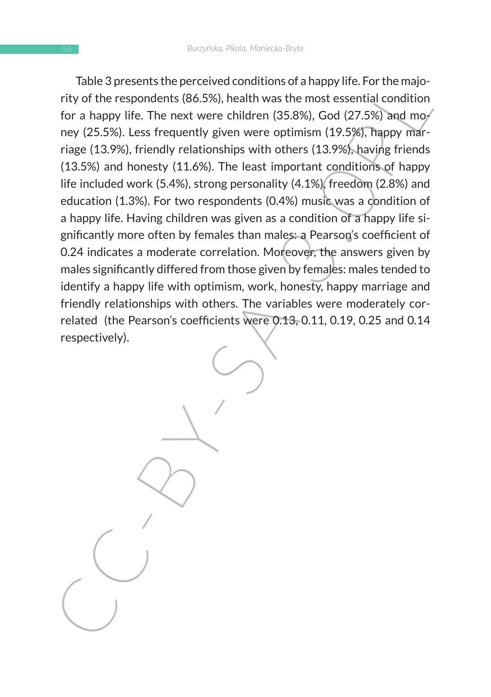riare spires is the perfective conductions of a happy file. For the inspire the respondents (86.5%), health was the most essential condition for a happy life. The next were children (35.8%), God (27.5%) and move of the res Table 3 presents the perceived conditions of a happy life. For the majority of the respondents (86.5%), health was the most essential condition for a happy life. The next were children (35.8%), God (27.5%) and money (25.5%). Less frequently given were optimism (19.5%), happy marriage (13.9%), friendly relationships with others (13.9%), having friends (13.5%) and honesty (11.6%). The least important conditions of happy life included work (5.4%), strong personality (4.1%), freedom (2.8%) and education (1.3%). For two respondents (0.4%) music was a condition of a happy life. Having children was given as a condition of a happy life significantly more often by females than males: a Pearson's coefficient of 0.24 indicates a moderate correlation. Moreover, the answers given by males significantly differed from those given by females: males tended to identify a happy life with optimism, work, honesty, happy marriage and friendly relationships with others. The variables were moderately correlated (the Pearson's coefficients were 0.13, 0.11, 0.19, 0.25 and 0.14 respectively).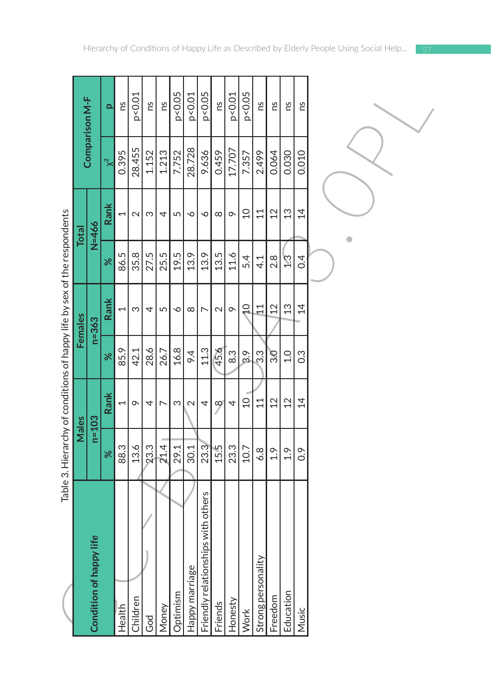|                                                                          |              | Comparison M-F          | $\overline{\mathbf{a}}$ | ns     | p < 0.01 | ns    | ns    | p<0.05                | p < 0.01       | p<0.05                             | ns       | p < 0.01 | p<0.05         | Su                 | ns            | ns             | ns               |  |
|--------------------------------------------------------------------------|--------------|-------------------------|-------------------------|--------|----------|-------|-------|-----------------------|----------------|------------------------------------|----------|----------|----------------|--------------------|---------------|----------------|------------------|--|
|                                                                          |              |                         | $\approx$               | 0.395  | 28.455   | 1.152 | 1.213 | 7.752                 | 28.728         | 9.636                              | 0.459    | 17.707   | 7.357          | 2.499              | 0.064         | 0.030          | 0.010            |  |
|                                                                          | <b>Total</b> | $N = 466$               | Rank                    |        | $\sim$   | S     | 4     | 5                     | $\circ$        | P                                  | $\infty$ | $\circ$  | $\overline{C}$ | 11                 | 12            | 13             | $\overline{4}$   |  |
|                                                                          |              |                         | ৯ৎ                      | 86.5   | 35.8     | 27.5  | 25.5  | 19.5                  | 13.9           | 13.9                               | 13.5     | 11.6     | 5.4            | 4.1                | 2.8           | 73<br>C        | 0.4              |  |
|                                                                          | Females      | $n=363$                 | Rank                    | 1      | S        | 4     | 5     | $\breve{\phantom{0}}$ | $\infty$       | $\overline{ }$                     | $\sim$   | $\circ$  | $\overline{C}$ | 11                 | 12            | 13             | $\overline{4}$   |  |
|                                                                          |              |                         | ৯ৎ                      | 85.9   | 42.1     | 28.6  | 26.7  | 16.8                  | 9.4            | 11.3                               | 45.6     | 8.3      | 3.9            | 33                 | 30            | 0.1            | $0.\overline{3}$ |  |
|                                                                          |              |                         | Rank                    | 1      | $\sigma$ | 4     | r     | S                     | $\sim$         | 4                                  | $\infty$ | 4        | $\Omega$       | 11                 | 12            | 12             | $\overline{4}$   |  |
| Table 3. Hierarchy of conditions of happy life by sex of the respondents | Males        | $n=103$                 | $\aleph$                | 88.3   | 13.6     | 23.3  | 21.4  | 29.1                  | 30.1           | 23.3                               | 15.5     | 23.3     | 10.7           | 6.8                | $\frac{9}{1}$ | $\frac{9}{11}$ | $\overline{0}$ . |  |
|                                                                          |              | Condition of happy life |                         | Health | Children | God   | Money | Optimism              | Happy marriage | Friendly relationships with others | Friends  | Honesty  | Work           | Strong personality | Freedom       | Education      | Music            |  |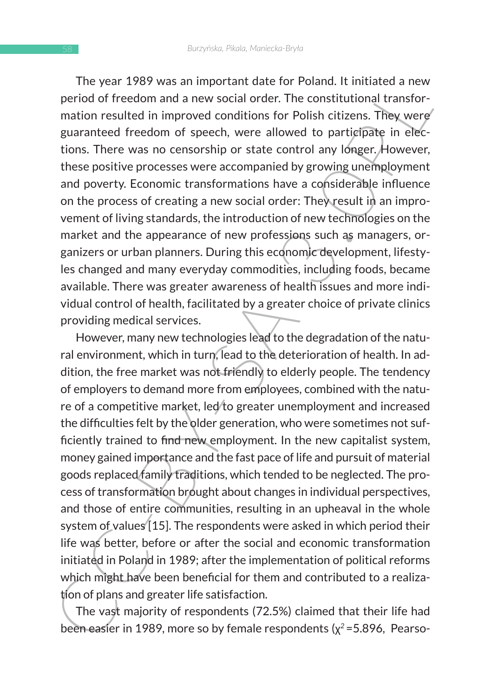The year 1989 was an important date for Poland. It initiated a new period of freedom and a new social order. The constitutional transformation resulted in improved conditions for Polish citizens. They were guaranteed freedom of speech, were allowed to participate in elections. There was no censorship or state control any longer. However, these positive processes were accompanied by growing unemployment and poverty. Economic transformations have a considerable influence on the process of creating a new social order: They result in an improvement of living standards, the introduction of new technologies on the market and the appearance of new professions such as managers, organizers or urban planners. During this economic development, lifestyles changed and many everyday commodities, including foods, became available. There was greater awareness of health issues and more individual control of health, facilitated by a greater choice of private clinics providing medical services.

The year 1797 was an impuranti due to to Foulai. It initiated a niew<br>meriod of freedom and a new social order. The constitutional transformation resulted in improved conditions for Polish citizens. They were<br>mation resulte However, many new technologies lead to the degradation of the natural environment, which in turn, lead to the deterioration of health. In addition, the free market was not friendly to elderly people. The tendency of employers to demand more from employees, combined with the nature of a competitive market, led/to greater unemployment and increased the difficulties felt by the older generation, who were sometimes not sufficiently trained to find new employment. In the new capitalist system, money gained importance and the fast pace of life and pursuit of material goods replaced family traditions, which tended to be neglected. The process of transformation brought about changes in individual perspectives, and those of entire communities, resulting in an upheaval in the whole system of values [15]. The respondents were asked in which period their life was better, before or after the social and economic transformation initiated in Poland in 1989; after the implementation of political reforms which might have been beneficial for them and contributed to a realization of plans and greater life satisfaction.

The vast majority of respondents (72.5%) claimed that their life had been easier in 1989, more so by female respondents (χ*2* =5.896, Pearso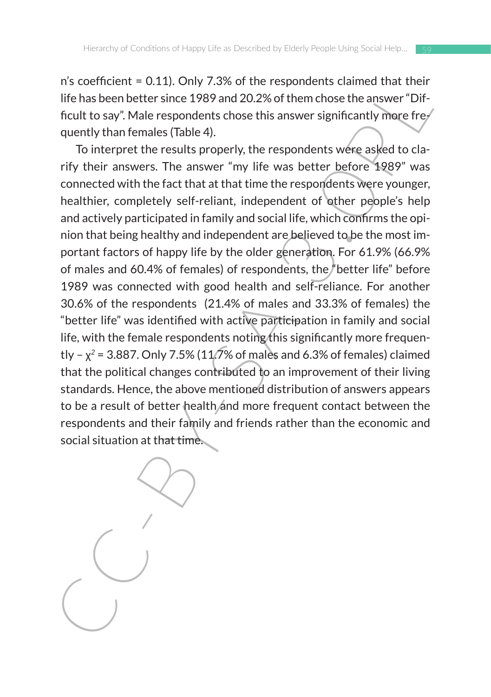n's coefficient = 0.11). Only 7.3% of the respondents claimed that their life has been better since 1989 and 20.2% of them chose the answer "Difficult to say". Male respondents chose this answer significantly more frequently than females (Table 4).

Its continue to unit). Only 7.3% of the respondents canned their first control in the respondents cannot the has been better since 1989 and 20.2% of them chose the answer "Difficult to say". Male respondents chose this an To interpret the results properly, the respondents were asked to clarify their answers. The answer "my life was better before 1989" was connected with the fact that at that time the respondents were younger, healthier, completely self-reliant, independent of other people's help and actively participated in family and social life, which confirms the opinion that being healthy and independent are believed to be the most important factors of happy life by the older generation. For 61.9% (66.9% of males and 60.4% of females) of respondents, the "better life" before 1989 was connected with good health and self-reliance. For another 30.6% of the respondents (21.4% of males and 33.3% of females) the "better life" was identified with active participation in family and social life, with the female respondents noting this significantly more frequently –  $x^2$  = 3.887. Only 7.5% (11.7% of males and 6.3% of females) claimed that the political changes contributed to an improvement of their living standards. Hence, the above mentioned distribution of answers appears to be a result of better health and more frequent contact between the respondents and their family and friends rather than the economic and social situation at that time.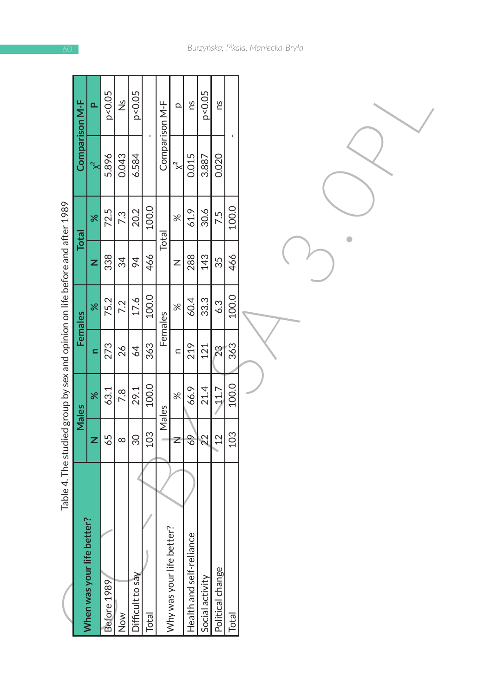|                                                                             |                | ۵                              | p<0.05      | $\frac{5}{2}$ | p<0.05           |       |                | $\Omega$                  | Su                       | p < 0.05        | Su                      |       |  |
|-----------------------------------------------------------------------------|----------------|--------------------------------|-------------|---------------|------------------|-------|----------------|---------------------------|--------------------------|-----------------|-------------------------|-------|--|
|                                                                             | Comparison M-F | $\approx$                      | 5.896       | 0.043         | 6.584            |       | Comparison M-F | $\approx$                 | 0.015                    | 3.887           | 0.020                   |       |  |
|                                                                             |                | $\aleph$                       | 72.5        | 7.3           | 20.2             | 100.0 |                | $\aleph$                  | 61.9                     | 30.6            | 7.5                     | 100.0 |  |
|                                                                             | <b>Total</b>   | z                              | 338         | 34            | 94               | 466   | Total          | Z                         | 288                      | 143             | 35                      | 466   |  |
|                                                                             | <b>Females</b> | $\aleph$                       | 75.2        | 7.2           | 17.6             | 100.0 |                | $\aleph$                  | 60.4                     | 33.3            | 6.3                     | 100.0 |  |
|                                                                             |                | $\equiv$                       | 273         | 26            | 64               | 363   | Females        | $\subset$                 | 219                      | 121             | $\overline{\mathbf{2}}$ | 363   |  |
|                                                                             | Males          | $\aleph$                       | 63.1        | 7.8           | 29.1             | 100.0 | Males          | $\aleph$                  | 66.9                     | 21.4            | 11.7                    | 100.0 |  |
|                                                                             |                | z                              | 65          | $\infty$      | 30               | 103   |                | Z                         | 69                       | $\overline{2}$  | $\overline{2}$          | 103   |  |
| Table 4. The studied group by sex and opinion on life before and after 1989 |                |                                |             |               |                  |       |                |                           |                          |                 |                         |       |  |
|                                                                             |                | fe better?<br>When was your li | Before 1989 | Now           | Difficult to say | Total |                | Why was your life better? | Health and self-reliance | Social activity | Political change        | Total |  |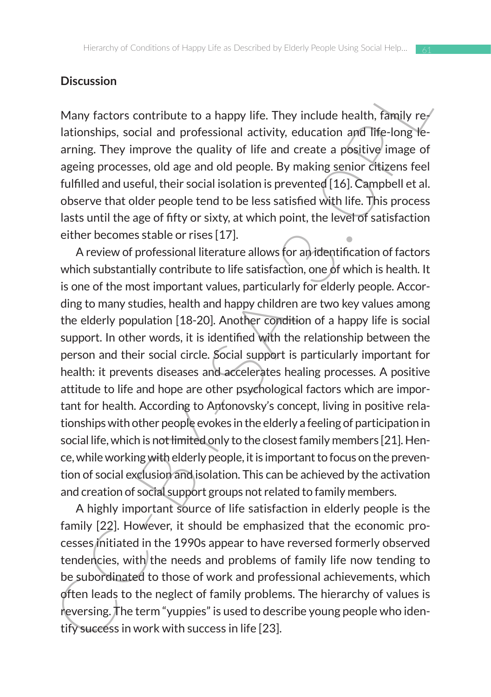### **Discussion**

Many factors contribute to a happy life. They include health, family relationships, social and professional activity, education and life-long learning. They improve the quality of life and create a positive image of ageing processes, old age and old people. By making senior citizens feel fulfilled and useful, their social isolation is prevented [16]. Campbell et al. observe that older people tend to be less satisfied with life. This process lasts until the age of fifty or sixty, at which point, the level of satisfaction either becomes stable or rises [17].

Discussion<br>
Many factors contribute to a happy life. They include health, fimily re-<br>
lationships, social and professional activity, education and life-long<br>
le-longing. They improve the quality of life and create a posit A review of professional literature allows for an identification of factors which substantially contribute to life satisfaction, one of which is health. It is one of the most important values, particularly for elderly people. According to many studies, health and happy children are two key values among the elderly population [18-20]. Another condition of a happy life is social support. In other words, it is identified with the relationship between the person and their social circle. Social support is particularly important for health: it prevents diseases and accelerates healing processes. A positive attitude to life and hope are other psychological factors which are important for health. According to Antonovsky's concept, living in positive relationships with other people evokes in the elderly a feeling of participation in social life, which is not limited only to the closest family members [21]. Hence, while working with elderly people, it is important to focus on the prevention of social exclusion and isolation. This can be achieved by the activation and creation of social support groups not related to family members.

A highly important source of life satisfaction in elderly people is the family [22]. However, it should be emphasized that the economic processes initiated in the 1990s appear to have reversed formerly observed tendencies, with the needs and problems of family life now tending to be subordinated to those of work and professional achievements, which often leads to the neglect of family problems. The hierarchy of values is reversing. The term "yuppies" is used to describe young people who identify success in work with success in life [23].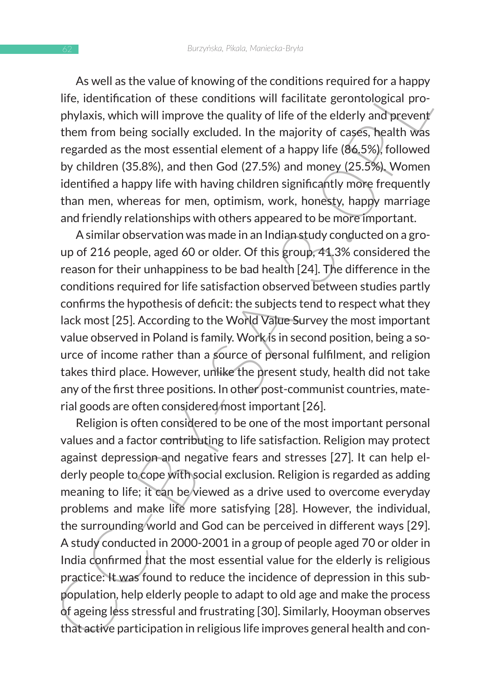As well as the value of knowing of the conditions required for a happy life, identification of these conditions will facilitate gerontological prophylaxis, which will improve the quality of life of the elderly and prevent them from being socially excluded. In the majority of cases, health was regarded as the most essential element of a happy life (86.5%), followed by children (35.8%), and then God (27.5%) and money (25.5%). Women identified a happy life with having children significantly more frequently than men, whereas for men, optimism, work, honesty, happy marriage and friendly relationships with others appeared to be more important.

A similar observation was made in an Indian study conducted on a group of 216 people, aged 60 or older. Of this group, 41.3% considered the reason for their unhappiness to be bad health [24]. The difference in the conditions required for life satisfaction observed between studies partly confirms the hypothesis of deficit: the subjects tend to respect what they lack most [25]. According to the World Value Survey the most important value observed in Poland is family. Work is in second position, being a source of income rather than a source of personal fulfilment, and religion takes third place. However, unlike the present study, health did not take any of the first three positions. In other post-communist countries, material goods are often considered/most important [26].

As well as the value of such and point contains required for analphy<br>diffe, identification of these conditions will facilitate gerontological pro-<br>phylaxis, which will improve the quality of life of the elelerly and preve Religion is often considered to be one of the most important personal values and a factor contributing to life satisfaction. Religion may protect against depression and negative fears and stresses [27]. It can help elderly people to cope with social exclusion. Religion is regarded as adding meaning to life; it can be viewed as a drive used to overcome everyday problems and make life more satisfying [28]. However, the individual, the surrounding world and God can be perceived in different ways [29]. A study conducted in 2000-2001 in a group of people aged 70 or older in India confirmed that the most essential value for the elderly is religious practice: It was found to reduce the incidence of depression in this subpopulation, help elderly people to adapt to old age and make the process of ageing less stressful and frustrating [30]. Similarly, Hooyman observes that active participation in religious life improves general health and con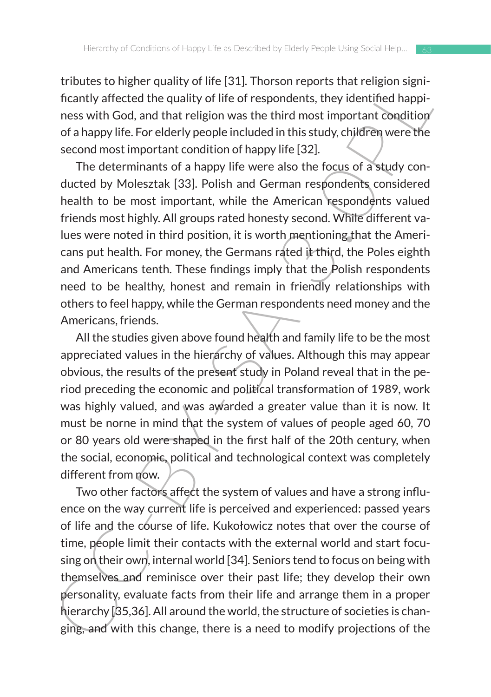tributes to higher quality of life [31]. Thorson reports that religion significantly affected the quality of life of respondents, they identified happiness with God, and that religion was the third most important condition of a happy life. For elderly people included in this study, children were the second most important condition of happy life [32].

throutes to my of the party of the party informal team and rengion symptoms that the party and the party for the party informally of the detected the quality of life of respondents, they identified happiness with God, and The determinants of a happy life were also the focus of a study conducted by Molesztak [33]. Polish and German respondents considered health to be most important, while the American respondents valued friends most highly. All groups rated honesty second. While different values were noted in third position, it is worth mentioning that the Americans put health. For money, the Germans rated it third, the Poles eighth and Americans tenth. These findings imply that the Polish respondents need to be healthy, honest and remain in friendly relationships with others to feel happy, while the German respondents need money and the Americans, friends.

All the studies given above found health and family life to be the most appreciated values in the hierarchy of values. Although this may appear obvious, the results of the present study in Poland reveal that in the period preceding the economic and political transformation of 1989, work was highly valued, and was awarded a greater value than it is now. It must be norne in mind that the system of values of people aged 60, 70 or 80 years old were shaped in the first half of the 20th century, when the social, economic, political and technological context was completely different from now.

Two other factors affect the system of values and have a strong influence on the way current life is perceived and experienced: passed years of life and the course of life. Kukołowicz notes that over the course of time, people limit their contacts with the external world and start focusing on their own, internal world [34]. Seniors tend to focus on being with themselves and reminisce over their past life; they develop their own personality, evaluate facts from their life and arrange them in a proper hierarchy [35,36]. All around the world, the structure of societies is changing, and with this change, there is a need to modify projections of the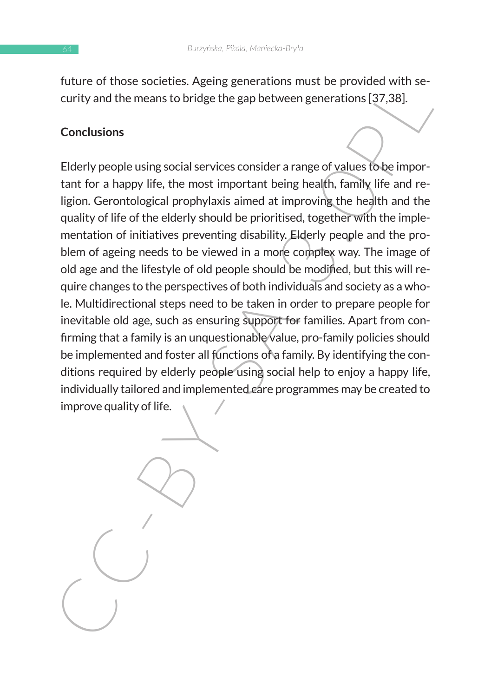future of those societies. Ageing generations must be provided with security and the means to bridge the gap between generations [37,38].

### **Conclusions**

Future of units both the means to bridge the applementations must be provided with security and the means to bridge the gap between generations [37,38].<br>Conclusions<br>Elderly people using social services consider a range of Elderly people using social services consider a range of values to be important for a happy life, the most important being health, family life and religion. Gerontological prophylaxis aimed at improving the health and the quality of life of the elderly should be prioritised, together with the implementation of initiatives preventing disability. Elderly people and the problem of ageing needs to be viewed in a more complex way. The image of old age and the lifestyle of old people should be modified, but this will require changes to the perspectives of both individuals and society as a whole. Multidirectional steps need to be taken in order to prepare people for inevitable old age, such as ensuring support for families. Apart from confirming that a family is an unquestionable value, pro-family policies should be implemented and foster all functions of a family. By identifying the conditions required by elderly people using social help to enjoy a happy life, individually tailored and implemented care programmes may be created to improve quality of life.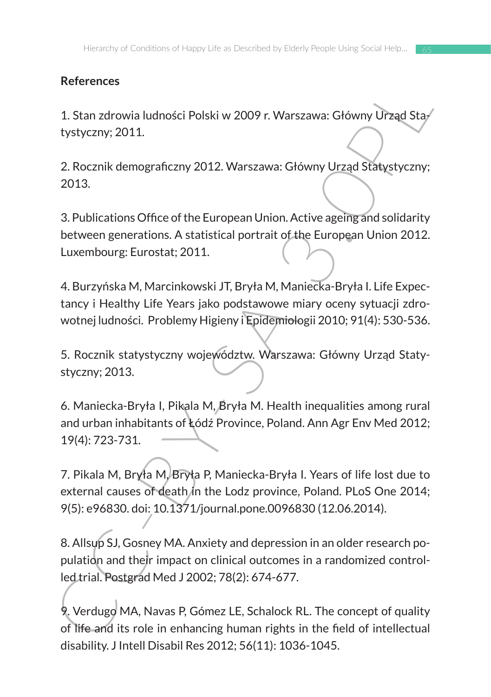# **References**

1. Stan zdrowia ludności Polski w 2009 r. Warszawa: Główny Urząd Statystyczny; 2011.

2. Rocznik demograficzny 2012. Warszawa: Główny Urząd Statystyczny; 2013.

3. Publications Office of the European Union. Active ageing and solidarity between generations. A statistical portrait of the European Union 2012. Luxembourg: Eurostat; 2011.

4. Burzyńska M, Marcinkowski JT, Bryła M, Maniecka-Bryła I. Life Expectancy i Healthy Life Years jako podstawowe miary oceny sytuacji zdrowotnej ludności. Problemy Higieny i Epidemiologii 2010; 91(4): 530-536.

5. Rocznik statystyczny województw. Warszawa: Główny Urząd Statystyczny; 2013.

6. Maniecka-Bryła I, Pikala M, Bryła M. Health inequalities among rural and urban inhabitants of Łódź Province, Poland. Ann Agr Env Med 2012; 19(4): 723-731.

References<br>
1. Stan zdrowia ludności Polski w 2009 r. Warszawa: Główny Urząd Stay<br>
tystyczny; 2011.<br>
2. Rocznik demograficzny 2012. Warszawa: Główny Urząd Statystyczny;<br>
2013.<br>
3. Publications Office of the European Union. 7. Pikala M, Bryła M, Bryła P, Maniecka-Bryła I. Years of life lost due to external causes of death in the Lodz province, Poland. PLoS One 2014; 9(5): e96830. doi: 10.1371/journal.pone.0096830 (12.06.2014).

8. Allsup SJ, Gosney MA. Anxiety and depression in an older research population and their impact on clinical outcomes in a randomized controlled trial. Postgrad Med J 2002; 78(2): 674-677.

9. Verdugo MA, Navas P, Gómez LE, Schalock RL. The concept of quality of life and its role in enhancing human rights in the field of intellectual disability. J Intell Disabil Res 2012; 56(11): 1036-1045.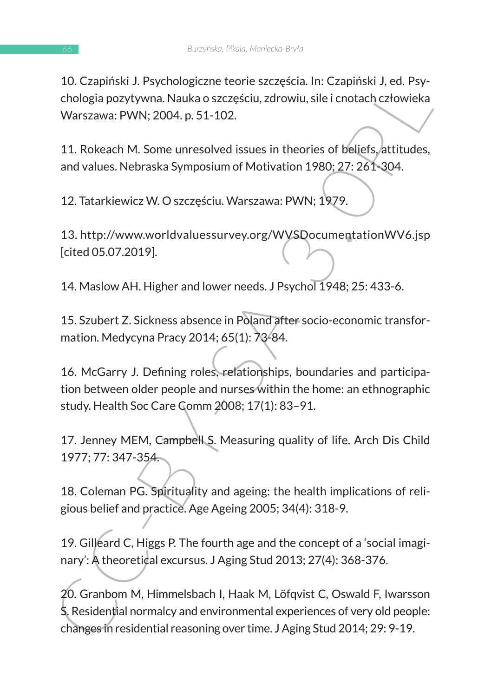10. Czapiński J. Psychologiczne teorie szczęścia. In: Czapiński J, ed. Psychologia pozytywna. Nauka o szczęściu, zdrowiu, sile i cnotach człowieka Warszawa: PWN; 2004. p. 51-102.

11. Rokeach M. Some unresolved issues in theories of beliefs, attitudes, and values. Nebraska Symposium of Motivation 1980; 27: 261-304.

12. Tatarkiewicz W. O szczęściu. Warszawa: PWN; 1979.

13. http://www.worldvaluessurvey.org/WVSDocumentationWV6.jsp [cited 05.07.2019].

14. Maslow AH. Higher and lower needs. J Psychol 1948; 25: 433-6.

15. Szubert Z. Sickness absence in Poland after socio-economic transformation. Medycyna Pracy 2014; 65(1): 73-84.

16. McGarry J. Defining roles, relationships, boundaries and participation between older people and nurses within the home: an ethnographic study. Health Soc Care Comm 2008; 17(1): 83–91.

17. Jenney MEM, Campbell S. Measuring quality of life. Arch Dis Child 1977; 77: 347-354.

18. Coleman PG. Spirituality and ageing: the health implications of religious belief and practice. Age Ageing 2005; 34(4): 318-9.

19. Gilleard C, Higgs P. The fourth age and the concept of a 'social imaginary': A theoretical excursus. J Aging Stud 2013; 27(4): 368-376.

10. Czapinski J. Feytninguczne tetre exzzessia. in: Czapinski J. eu. Fsy-<br>Chologia pozytywna. Nauka o szczęściu, zdrowiu, sile i cnotach człowieka<br>Warszawa: PWN; 2004. p. 51-102.<br>11. Rokeach M. Some unresolved issues in th 20. Granbom M, Himmelsbach I, Haak M, Löfqvist C, Oswald F, Iwarsson S. Residential normalcy and environmental experiences of very old people: changes in residential reasoning over time. J Aging Stud 2014; 29: 9-19.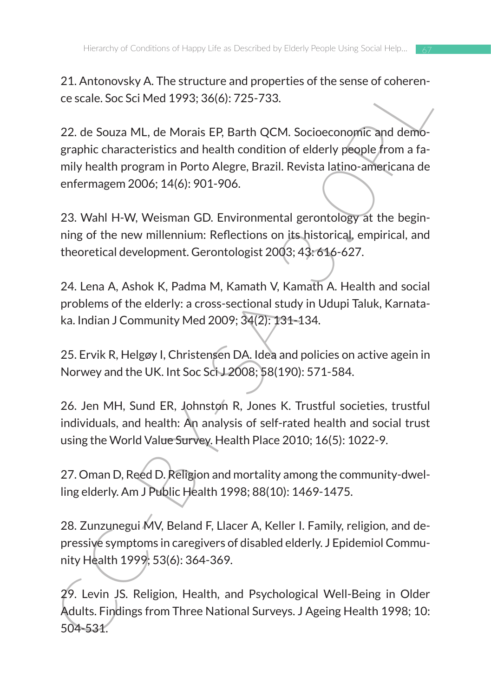21. Antonovsky A. The structure and properties of the sense of coherence scale. Soc Sci Med 1993; 36(6): 725-733.

2.1. Antuniowsky. The structure and properties of the seale of context-<br>
c scale. Soc Sci Med 1993; 36(6): 725-733.<br>
22. de Souza ML, de Morais EP, Barth QCM. Socioeconomic and demo-<br>
graphic characteristics and health co 22. de Souza ML, de Morais EP, Barth QCM. Socioeconomic and demographic characteristics and health condition of elderly people from a family health program in Porto Alegre, Brazil. Revista latino-americana de enfermagem 2006; 14(6): 901-906.

23. Wahl H-W, Weisman GD. Environmental gerontology at the beginning of the new millennium: Reflections on its historical, empirical, and theoretical development. Gerontologist 2003; 43: 616-627.

24. Lena A, Ashok K, Padma M, Kamath V, Kamath A. Health and social problems of the elderly: a cross-sectional study in Udupi Taluk, Karnataka. Indian J Community Med 2009; 34(2): 131-134.

25. Ervik R, Helgøy I, Christensen DA. Idea and policies on active agein in Norwey and the UK. Int Soc Sci J 2008; 58(190): 571-584.

26. Jen MH, Sund ER, Johnston R, Jones K. Trustful societies, trustful individuals, and health: An analysis of self-rated health and social trust using the World Value Survey. Health Place 2010; 16(5): 1022-9.

27. Oman D, Reed D. Religion and mortality among the community-dwelling elderly. Am J Public Health 1998; 88(10): 1469-1475.

28. Zunzunegui MV, Beland F, Llacer A, Keller I. Family, religion, and depressive symptoms in caregivers of disabled elderly. J Epidemiol Community Health 1999; 53(6): 364-369.

29. Levin JS. Religion, Health, and Psychological Well-Being in Older Adults. Findings from Three National Surveys. J Ageing Health 1998; 10: 504-531.